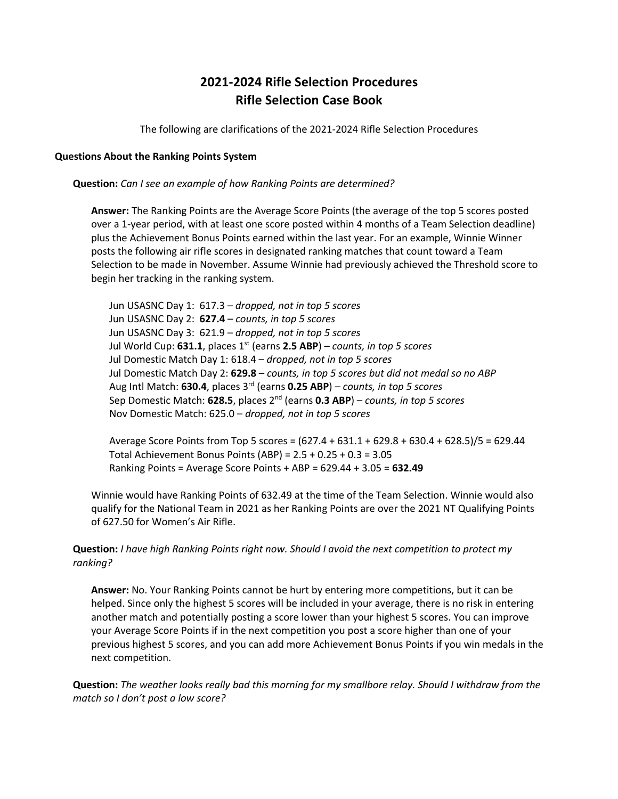# **2021-2024 Rifle Selection Procedures Rifle Selection Case Book**

The following are clarifications of the 2021-2024 Rifle Selection Procedures

#### **Questions About the Ranking Points System**

**Question:** *Can I see an example of how Ranking Points are determined?*

**Answer:** The Ranking Points are the Average Score Points (the average of the top 5 scores posted over a 1-year period, with at least one score posted within 4 months of a Team Selection deadline) plus the Achievement Bonus Points earned within the last year. For an example, Winnie Winner posts the following air rifle scores in designated ranking matches that count toward a Team Selection to be made in November. Assume Winnie had previously achieved the Threshold score to begin her tracking in the ranking system.

Jun USASNC Day 1: 617.3 – *dropped, not in top 5 scores* Jun USASNC Day 2: **627.4** – *counts, in top 5 scores* Jun USASNC Day 3: 621.9 – *dropped, not in top 5 scores* Jul World Cup: **631.1**, places 1st (earns **2.5 ABP**) – *counts, in top 5 scores* Jul Domestic Match Day 1: 618.4 – *dropped, not in top 5 scores* Jul Domestic Match Day 2: **629.8** – *counts, in top 5 scores but did not medal so no ABP* Aug Intl Match: **630.4**, places 3rd (earns **0.25 ABP**) – *counts, in top 5 scores* Sep Domestic Match: **628.5**, places 2nd (earns **0.3 ABP**) – *counts, in top 5 scores* Nov Domestic Match: 625.0 – *dropped, not in top 5 scores*

Average Score Points from Top 5 scores = (627.4 + 631.1 + 629.8 + 630.4 + 628.5)/5 = 629.44 Total Achievement Bonus Points (ABP) = 2.5 + 0.25 + 0.3 = 3.05 Ranking Points = Average Score Points + ABP = 629.44 + 3.05 = **632.49**

Winnie would have Ranking Points of 632.49 at the time of the Team Selection. Winnie would also qualify for the National Team in 2021 as her Ranking Points are over the 2021 NT Qualifying Points of 627.50 for Women's Air Rifle.

# **Question:** *I have high Ranking Points right now. Should I avoid the next competition to protect my ranking?*

**Answer:** No. Your Ranking Points cannot be hurt by entering more competitions, but it can be helped. Since only the highest 5 scores will be included in your average, there is no risk in entering another match and potentially posting a score lower than your highest 5 scores. You can improve your Average Score Points if in the next competition you post a score higher than one of your previous highest 5 scores, and you can add more Achievement Bonus Points if you win medals in the next competition.

**Question:** *The weather looks really bad this morning for my smallbore relay. Should I withdraw from the match so I don't post a low score?*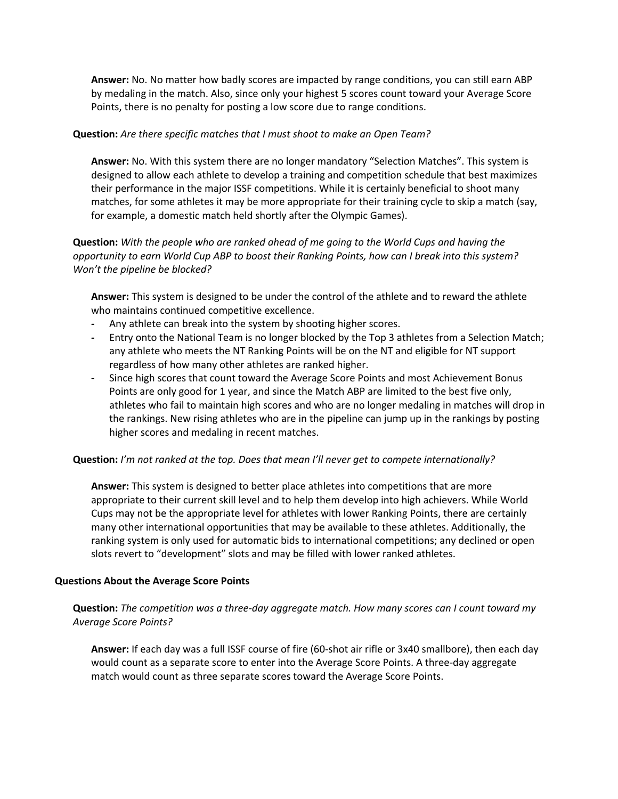**Answer:** No. No matter how badly scores are impacted by range conditions, you can still earn ABP by medaling in the match. Also, since only your highest 5 scores count toward your Average Score Points, there is no penalty for posting a low score due to range conditions.

## **Question:** *Are there specific matches that I must shoot to make an Open Team?*

**Answer:** No. With this system there are no longer mandatory "Selection Matches". This system is designed to allow each athlete to develop a training and competition schedule that best maximizes their performance in the major ISSF competitions. While it is certainly beneficial to shoot many matches, for some athletes it may be more appropriate for their training cycle to skip a match (say, for example, a domestic match held shortly after the Olympic Games).

# **Question:** *With the people who are ranked ahead of me going to the World Cups and having the opportunity to earn World Cup ABP to boost their Ranking Points, how can I break into this system? Won't the pipeline be blocked?*

**Answer:** This system is designed to be under the control of the athlete and to reward the athlete who maintains continued competitive excellence.

- **-** Any athlete can break into the system by shooting higher scores.
- **-** Entry onto the National Team is no longer blocked by the Top 3 athletes from a Selection Match; any athlete who meets the NT Ranking Points will be on the NT and eligible for NT support regardless of how many other athletes are ranked higher.
- **-** Since high scores that count toward the Average Score Points and most Achievement Bonus Points are only good for 1 year, and since the Match ABP are limited to the best five only, athletes who fail to maintain high scores and who are no longer medaling in matches will drop in the rankings. New rising athletes who are in the pipeline can jump up in the rankings by posting higher scores and medaling in recent matches.

## **Question:** *I'm not ranked at the top. Does that mean I'll never get to compete internationally?*

**Answer:** This system is designed to better place athletes into competitions that are more appropriate to their current skill level and to help them develop into high achievers. While World Cups may not be the appropriate level for athletes with lower Ranking Points, there are certainly many other international opportunities that may be available to these athletes. Additionally, the ranking system is only used for automatic bids to international competitions; any declined or open slots revert to "development" slots and may be filled with lower ranked athletes.

#### **Questions About the Average Score Points**

**Question:** *The competition was a three-day aggregate match. How many scores can I count toward my Average Score Points?*

**Answer:** If each day was a full ISSF course of fire (60-shot air rifle or 3x40 smallbore), then each day would count as a separate score to enter into the Average Score Points. A three-day aggregate match would count as three separate scores toward the Average Score Points.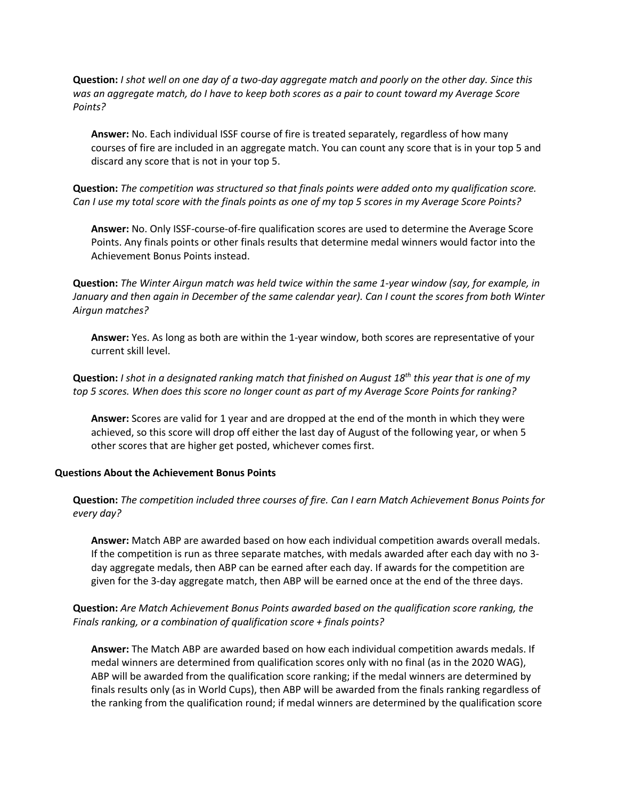**Question:** *I shot well on one day of a two-day aggregate match and poorly on the other day. Since this was an aggregate match, do I have to keep both scores as a pair to count toward my Average Score Points?*

**Answer:** No. Each individual ISSF course of fire is treated separately, regardless of how many courses of fire are included in an aggregate match. You can count any score that is in your top 5 and discard any score that is not in your top 5.

**Question:** *The competition was structured so that finals points were added onto my qualification score. Can I use my total score with the finals points as one of my top 5 scores in my Average Score Points?*

**Answer:** No. Only ISSF-course-of-fire qualification scores are used to determine the Average Score Points. Any finals points or other finals results that determine medal winners would factor into the Achievement Bonus Points instead.

**Question:** *The Winter Airgun match was held twice within the same 1-year window (say, for example, in January and then again in December of the same calendar year). Can I count the scores from both Winter Airgun matches?*

**Answer:** Yes. As long as both are within the 1-year window, both scores are representative of your current skill level.

**Question:** *I shot in a designated ranking match that finished on August 18th this year that is one of my top 5 scores. When does this score no longer count as part of my Average Score Points for ranking?*

**Answer:** Scores are valid for 1 year and are dropped at the end of the month in which they were achieved, so this score will drop off either the last day of August of the following year, or when 5 other scores that are higher get posted, whichever comes first.

#### **Questions About the Achievement Bonus Points**

**Question:** *The competition included three courses of fire. Can I earn Match Achievement Bonus Points for every day?*

**Answer:** Match ABP are awarded based on how each individual competition awards overall medals. If the competition is run as three separate matches, with medals awarded after each day with no 3 day aggregate medals, then ABP can be earned after each day. If awards for the competition are given for the 3-day aggregate match, then ABP will be earned once at the end of the three days.

# **Question:** *Are Match Achievement Bonus Points awarded based on the qualification score ranking, the Finals ranking, or a combination of qualification score + finals points?*

**Answer:** The Match ABP are awarded based on how each individual competition awards medals. If medal winners are determined from qualification scores only with no final (as in the 2020 WAG), ABP will be awarded from the qualification score ranking; if the medal winners are determined by finals results only (as in World Cups), then ABP will be awarded from the finals ranking regardless of the ranking from the qualification round; if medal winners are determined by the qualification score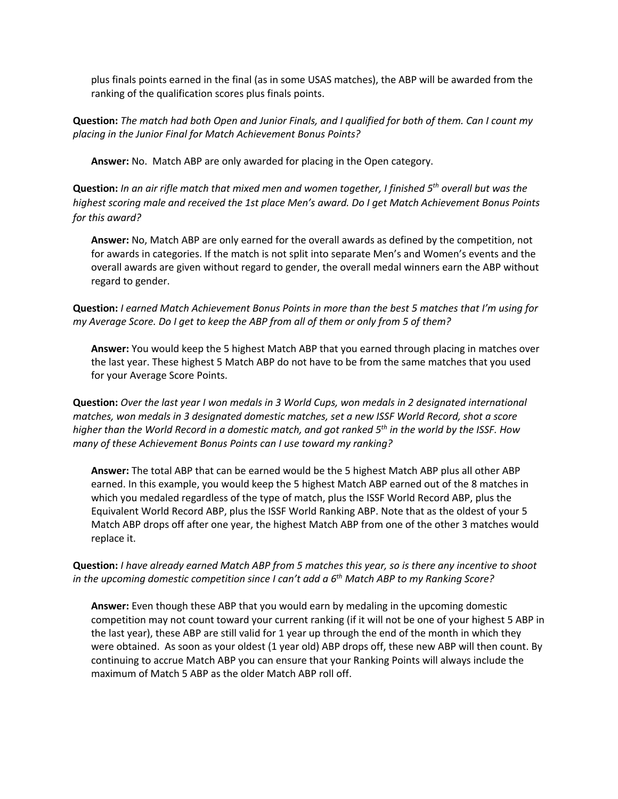plus finals points earned in the final (as in some USAS matches), the ABP will be awarded from the ranking of the qualification scores plus finals points.

**Question:** *The match had both Open and Junior Finals, and I qualified for both of them. Can I count my placing in the Junior Final for Match Achievement Bonus Points?*

**Answer:** No. Match ABP are only awarded for placing in the Open category.

**Question:** *In an air rifle match that mixed men and women together, I finished 5th overall but was the highest scoring male and received the 1st place Men's award. Do I get Match Achievement Bonus Points for this award?*

**Answer:** No, Match ABP are only earned for the overall awards as defined by the competition, not for awards in categories. If the match is not split into separate Men's and Women's events and the overall awards are given without regard to gender, the overall medal winners earn the ABP without regard to gender.

**Question:** *I earned Match Achievement Bonus Points in more than the best 5 matches that I'm using for my Average Score. Do I get to keep the ABP from all of them or only from 5 of them?*

**Answer:** You would keep the 5 highest Match ABP that you earned through placing in matches over the last year. These highest 5 Match ABP do not have to be from the same matches that you used for your Average Score Points.

**Question:** *Over the last year I won medals in 3 World Cups, won medals in 2 designated international matches, won medals in 3 designated domestic matches, set a new ISSF World Record, shot a score higher than the World Record in a domestic match, and got ranked 5th in the world by the ISSF. How many of these Achievement Bonus Points can I use toward my ranking?* 

**Answer:** The total ABP that can be earned would be the 5 highest Match ABP plus all other ABP earned. In this example, you would keep the 5 highest Match ABP earned out of the 8 matches in which you medaled regardless of the type of match, plus the ISSF World Record ABP, plus the Equivalent World Record ABP, plus the ISSF World Ranking ABP. Note that as the oldest of your 5 Match ABP drops off after one year, the highest Match ABP from one of the other 3 matches would replace it.

**Question:** *I have already earned Match ABP from 5 matches this year, so is there any incentive to shoot in the upcoming domestic competition since I can't add a 6th Match ABP to my Ranking Score?*

**Answer:** Even though these ABP that you would earn by medaling in the upcoming domestic competition may not count toward your current ranking (if it will not be one of your highest 5 ABP in the last year), these ABP are still valid for 1 year up through the end of the month in which they were obtained. As soon as your oldest (1 year old) ABP drops off, these new ABP will then count. By continuing to accrue Match ABP you can ensure that your Ranking Points will always include the maximum of Match 5 ABP as the older Match ABP roll off.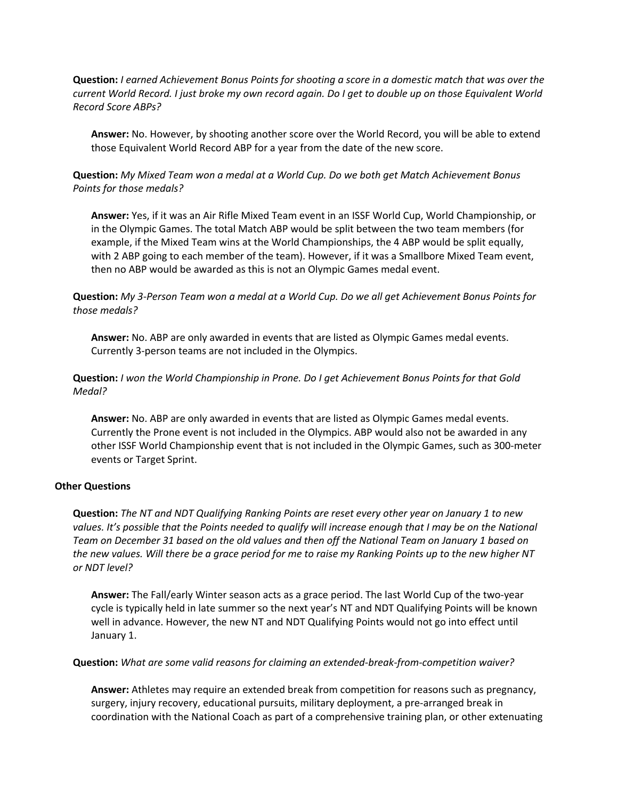**Question:** *I earned Achievement Bonus Points for shooting a score in a domestic match that was over the current World Record. I just broke my own record again. Do I get to double up on those Equivalent World Record Score ABPs?* 

**Answer:** No. However, by shooting another score over the World Record, you will be able to extend those Equivalent World Record ABP for a year from the date of the new score.

**Question:** *My Mixed Team won a medal at a World Cup. Do we both get Match Achievement Bonus Points for those medals?*

**Answer:** Yes, if it was an Air Rifle Mixed Team event in an ISSF World Cup, World Championship, or in the Olympic Games. The total Match ABP would be split between the two team members (for example, if the Mixed Team wins at the World Championships, the 4 ABP would be split equally, with 2 ABP going to each member of the team). However, if it was a Smallbore Mixed Team event, then no ABP would be awarded as this is not an Olympic Games medal event.

**Question:** *My 3-Person Team won a medal at a World Cup. Do we all get Achievement Bonus Points for those medals?*

**Answer:** No. ABP are only awarded in events that are listed as Olympic Games medal events. Currently 3-person teams are not included in the Olympics.

**Question:** *I won the World Championship in Prone. Do I get Achievement Bonus Points for that Gold Medal?*

**Answer:** No. ABP are only awarded in events that are listed as Olympic Games medal events. Currently the Prone event is not included in the Olympics. ABP would also not be awarded in any other ISSF World Championship event that is not included in the Olympic Games, such as 300-meter events or Target Sprint.

#### **Other Questions**

**Question:** *The NT and NDT Qualifying Ranking Points are reset every other year on January 1 to new values. It's possible that the Points needed to qualify will increase enough that I may be on the National Team on December 31 based on the old values and then off the National Team on January 1 based on the new values. Will there be a grace period for me to raise my Ranking Points up to the new higher NT or NDT level?*

**Answer:** The Fall/early Winter season acts as a grace period. The last World Cup of the two-year cycle is typically held in late summer so the next year's NT and NDT Qualifying Points will be known well in advance. However, the new NT and NDT Qualifying Points would not go into effect until January 1.

**Question:** *What are some valid reasons for claiming an extended-break-from-competition waiver?*

**Answer:** Athletes may require an extended break from competition for reasons such as pregnancy, surgery, injury recovery, educational pursuits, military deployment, a pre-arranged break in coordination with the National Coach as part of a comprehensive training plan, or other extenuating